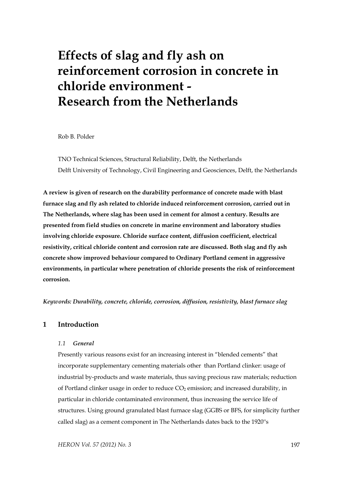# **Effects of slag and fly ash on reinforcement corrosion in concrete in chloride environment - Research from the Netherlands**

Rob B. Polder

TNO Technical Sciences, Structural Reliability, Delft, the Netherlands Delft University of Technology, Civil Engineering and Geosciences, Delft, the Netherlands

**A review is given of research on the durability performance of concrete made with blast furnace slag and fly ash related to chloride induced reinforcement corrosion, carried out in The Netherlands, where slag has been used in cement for almost a century. Results are presented from field studies on concrete in marine environment and laboratory studies involving chloride exposure. Chloride surface content, diffusion coefficient, electrical resistivity, critical chloride content and corrosion rate are discussed. Both slag and fly ash concrete show improved behaviour compared to Ordinary Portland cement in aggressive environments, in particular where penetration of chloride presents the risk of reinforcement corrosion.** 

*Keywords: Durability, concrete, chloride, corrosion, diffusion, resistivity, blast furnace slag* 

# **1 Introduction**

#### *1.1 General*

Presently various reasons exist for an increasing interest in "blended cements" that incorporate supplementary cementing materials other than Portland clinker: usage of industrial by-products and waste materials, thus saving precious raw materials; reduction of Portland clinker usage in order to reduce  $CO<sub>2</sub>$  emission; and increased durability, in particular in chloride contaminated environment, thus increasing the service life of structures. Using ground granulated blast furnace slag (GGBS or BFS, for simplicity further called slag) as a cement component in The Netherlands dates back to the 1920''s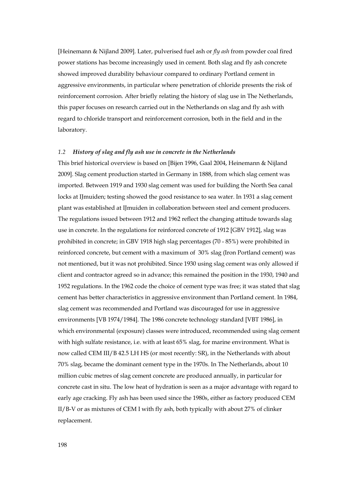[Heinemann & Nijland 2009]. Later, pulverised fuel ash or *fly ash* from powder coal fired power stations has become increasingly used in cement. Both slag and fly ash concrete showed improved durability behaviour compared to ordinary Portland cement in aggressive environments, in particular where penetration of chloride presents the risk of reinforcement corrosion. After briefly relating the history of slag use in The Netherlands, this paper focuses on research carried out in the Netherlands on slag and fly ash with regard to chloride transport and reinforcement corrosion, both in the field and in the laboratory.

#### *1.2 History of slag and fly ash use in concrete in the Netherlands*

This brief historical overview is based on [Bijen 1996, Gaal 2004, Heinemann & Nijland 2009]. Slag cement production started in Germany in 1888, from which slag cement was imported. Between 1919 and 1930 slag cement was used for building the North Sea canal locks at IJmuiden; testing showed the good resistance to sea water. In 1931 a slag cement plant was established at IJmuiden in collaboration between steel and cement producers. The regulations issued between 1912 and 1962 reflect the changing attitude towards slag use in concrete. In the regulations for reinforced concrete of 1912 [GBV 1912], slag was prohibited in concrete; in GBV 1918 high slag percentages (70 - 85%) were prohibited in reinforced concrete, but cement with a maximum of 30% slag (Iron Portland cement) was not mentioned, but it was not prohibited. Since 1930 using slag cement was only allowed if client and contractor agreed so in advance; this remained the position in the 1930, 1940 and 1952 regulations. In the 1962 code the choice of cement type was free; it was stated that slag cement has better characteristics in aggressive environment than Portland cement. In 1984, slag cement was recommended and Portland was discouraged for use in aggressive environments [VB 1974/1984]. The 1986 concrete technology standard [VBT 1986], in which environmental (exposure) classes were introduced, recommended using slag cement with high sulfate resistance, i.e. with at least 65% slag, for marine environment. What is now called CEM III/B 42.5 LH HS (or most recently: SR), in the Netherlands with about 70% slag, became the dominant cement type in the 1970s. In The Netherlands, about 10 million cubic metres of slag cement concrete are produced annually, in particular for concrete cast in situ. The low heat of hydration is seen as a major advantage with regard to early age cracking. Fly ash has been used since the 1980s, either as factory produced CEM II/B-V or as mixtures of CEM I with fly ash, both typically with about 27% of clinker replacement.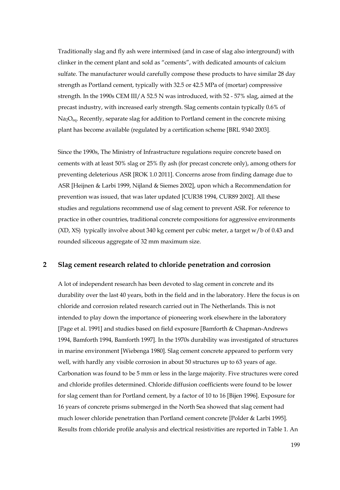Traditionally slag and fly ash were intermixed (and in case of slag also interground) with clinker in the cement plant and sold as "cements", with dedicated amounts of calcium sulfate. The manufacturer would carefully compose these products to have similar 28 day strength as Portland cement, typically with 32.5 or 42.5 MPa of (mortar) compressive strength. In the 1990s CEM III/A 52.5 N was introduced, with 52 - 57% slag, aimed at the precast industry, with increased early strength. Slag cements contain typically 0.6% of  $Na_2O_{eq}$ . Recently, separate slag for addition to Portland cement in the concrete mixing plant has become available (regulated by a certification scheme [BRL 9340 2003].

Since the 1990s, The Ministry of Infrastructure regulations require concrete based on cements with at least 50% slag or 25% fly ash (for precast concrete only), among others for preventing deleterious ASR [ROK 1.0 2011]. Concerns arose from finding damage due to ASR [Heijnen & Larbi 1999, Nijland & Siemes 2002], upon which a Recommendation for prevention was issued, that was later updated [CUR38 1994, CUR89 2002]. All these studies and regulations recommend use of slag cement to prevent ASR. For reference to practice in other countries, traditional concrete compositions for aggressive environments (XD, XS) typically involve about 340 kg cement per cubic meter, a target w/b of 0.43 and rounded siliceous aggregate of 32 mm maximum size.

## **2 Slag cement research related to chloride penetration and corrosion**

A lot of independent research has been devoted to slag cement in concrete and its durability over the last 40 years, both in the field and in the laboratory. Here the focus is on chloride and corrosion related research carried out in The Netherlands. This is not intended to play down the importance of pioneering work elsewhere in the laboratory [Page et al. 1991] and studies based on field exposure [Bamforth & Chapman-Andrews 1994, Bamforth 1994, Bamforth 1997]. In the 1970s durability was investigated of structures in marine environment [Wiebenga 1980]. Slag cement concrete appeared to perform very well, with hardly any visible corrosion in about 50 structures up to 63 years of age. Carbonation was found to be 5 mm or less in the large majority. Five structures were cored and chloride profiles determined. Chloride diffusion coefficients were found to be lower for slag cement than for Portland cement, by a factor of 10 to 16 [Bijen 1996]. Exposure for 16 years of concrete prisms submerged in the North Sea showed that slag cement had much lower chloride penetration than Portland cement concrete [Polder & Larbi 1995]. Results from chloride profile analysis and electrical resistivities are reported in Table 1. An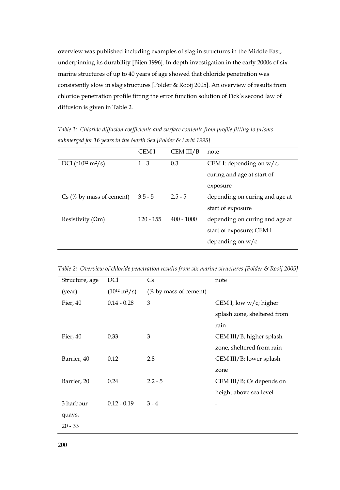overview was published including examples of slag in structures in the Middle East, underpinning its durability [Bijen 1996]. In depth investigation in the early 2000s of six marine structures of up to 40 years of age showed that chloride penetration was consistently slow in slag structures [Polder & Rooij 2005]. An overview of results from chloride penetration profile fitting the error function solution of Fick's second law of diffusion is given in Table 2.

*Table 1: Chloride diffusion coefficients and surface contents from profile fitting to prisms submerged for 16 years in the North Sea [Polder & Larbi 1995]* 

|                                           | CEM I       | CEM III/B    | note                           |
|-------------------------------------------|-------------|--------------|--------------------------------|
| DCI (*10 <sup>12</sup> m <sup>2</sup> /s) | $1 - 3$     | 0.3          | CEM I: depending on $w/c$ ,    |
|                                           |             |              | curing and age at start of     |
|                                           |             |              | exposure                       |
| Cs (% by mass of cement)                  | $3.5 - 5$   | $2.5 - 5$    | depending on curing and age at |
|                                           |             |              | start of exposure              |
| Resistivity $(\Omega m)$                  | $120 - 155$ | $400 - 1000$ | depending on curing and age at |
|                                           |             |              | start of exposure; CEM I       |
|                                           |             |              | depending on $w/c$             |

*Table 2: Overview of chloride penetration results from six marine structures [Polder & Rooij 2005]* 

| Structure, age | DC <sub>1</sub>                  | Cs                    | note                        |
|----------------|----------------------------------|-----------------------|-----------------------------|
| (year)         | $(10^{12} \text{ m}^2/\text{s})$ | (% by mass of cement) |                             |
| Pier, 40       | $0.14 - 0.28$                    | 3                     | CEM I, low $w/c$ ; higher   |
|                |                                  |                       | splash zone, sheltered from |
|                |                                  |                       | rain                        |
| Pier, 40       | 0.33                             | 3                     | CEM III/B, higher splash    |
|                |                                  |                       | zone, sheltered from rain   |
| Barrier, 40    | 0.12                             | 2.8                   | CEM III/B; lower splash     |
|                |                                  |                       | zone                        |
| Barrier, 20    | 0.24                             | $2.2 - 5$             | $CEM III/B$ ; Cs depends on |
|                |                                  |                       | height above sea level      |
| 3 harbour      | $0.12 - 0.19$                    | $3 - 4$               |                             |
| quays,         |                                  |                       |                             |
| $20 - 33$      |                                  |                       |                             |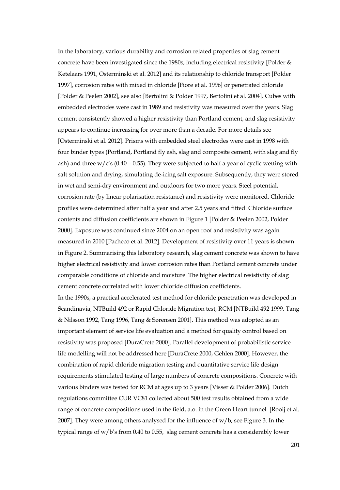In the laboratory, various durability and corrosion related properties of slag cement concrete have been investigated since the 1980s, including electrical resistivity [Polder & Ketelaars 1991, Osterminski et al. 2012] and its relationship to chloride transport [Polder 1997], corrosion rates with mixed in chloride [Fiore et al. 1996] or penetrated chloride [Polder & Peelen 2002], see also [Bertolini & Polder 1997, Bertolini et al. 2004]. Cubes with embedded electrodes were cast in 1989 and resistivity was measured over the years. Slag cement consistently showed a higher resistivity than Portland cement, and slag resistivity appears to continue increasing for over more than a decade. For more details see [Osterminski et al. 2012]. Prisms with embedded steel electrodes were cast in 1998 with four binder types (Portland, Portland fly ash, slag and composite cement, with slag and fly ash) and three  $w/c's$  (0.40 – 0.55). They were subjected to half a year of cyclic wetting with salt solution and drying, simulating de-icing salt exposure. Subsequently, they were stored in wet and semi-dry environment and outdoors for two more years. Steel potential, corrosion rate (by linear polarisation resistance) and resistivity were monitored. Chloride profiles were determined after half a year and after 2.5 years and fitted. Chloride surface contents and diffusion coefficients are shown in Figure 1 [Polder & Peelen 2002, Polder 2000]. Exposure was continued since 2004 on an open roof and resistivity was again measured in 2010 [Pacheco et al. 2012]. Development of resistivity over 11 years is shown in Figure 2. Summarising this laboratory research, slag cement concrete was shown to have higher electrical resistivity and lower corrosion rates than Portland cement concrete under comparable conditions of chloride and moisture. The higher electrical resistivity of slag cement concrete correlated with lower chloride diffusion coefficients.

In the 1990s, a practical accelerated test method for chloride penetration was developed in Scandinavia, NTBuild 492 or Rapid Chloride Migration test, RCM [NTBuild 492 1999, Tang & Nilsson 1992, Tang 1996, Tang & Sørensen 2001]. This method was adopted as an important element of service life evaluation and a method for quality control based on resistivity was proposed [DuraCrete 2000]. Parallel development of probabilistic service life modelling will not be addressed here [DuraCrete 2000, Gehlen 2000]. However, the combination of rapid chloride migration testing and quantitative service life design requirements stimulated testing of large numbers of concrete compositions. Concrete with various binders was tested for RCM at ages up to 3 years [Visser & Polder 2006]. Dutch regulations committee CUR VC81 collected about 500 test results obtained from a wide range of concrete compositions used in the field, a.o. in the Green Heart tunnel [Rooij et al. 2007]. They were among others analysed for the influence of w/b, see Figure 3. In the typical range of w/b's from 0.40 to 0.55, slag cement concrete has a considerably lower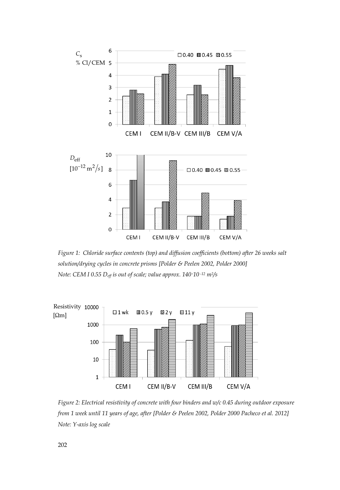

*Figure 1: Chloride surface contents (top) and diffusion coefficients (bottom) after 26 weeks salt solution/drying cycles in concrete prisms [Polder & Peelen 2002, Polder 2000] Note: CEM I 0.55 Deff is out of scale; value approx. 140·10 -12 m2/s* 



*Figure 2: Electrical resistivity of concrete with four binders and w/c 0.45 during outdoor exposure from 1 week until 11 years of age, after [Polder & Peelen 2002, Polder 2000 Pacheco et al. 2012] Note: Y-axis log scale*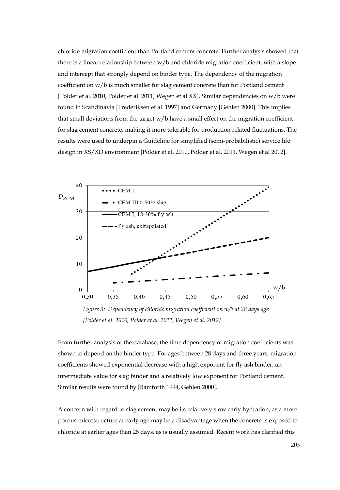chloride migration coefficient than Portland cement concrete. Further analysis showed that there is a linear relationship between w/b and chloride migration coefficient, with a slope and intercept that strongly depend on binder type. The dependency of the migration coefficient on w/b is much smaller for slag cement concrete than for Portland cement [Polder et al. 2010, Polder et al. 2011, Wegen et al XX]. Similar dependencies on w/b were found in Scandinavia [Frederiksen et al. 1997] and Germany [Gehlen 2000]. This implies that small deviations from the target w/b have a small effect on the migration coefficient for slag cement concrete, making it more tolerable for production related fluctuations. The results were used to underpin a Guideline for simplified (semi-probabilistic) service life design in XS/XD environment [Polder et al. 2010, Polder et al. 2011, Wegen et al 2012].



*[Polder et al. 2010, Polder et al. 2011, Wegen et al. 2012]* 

From further analysis of the database, the time dependency of migration coefficients was shown to depend on the binder type. For ages between 28 days and three years, migration coefficients showed exponential decrease with a high exponent for fly ash binder; an intermediate value for slag binder and a relatively low exponent for Portland cement. Similar results were found by [Bamforth 1994, Gehlen 2000].

A concern with regard to slag cement may be its relatively slow early hydration, as a more porous microstructure at early age may be a disadvantage when the concrete is exposed to chloride at earlier ages than 28 days, as is usually assumed. Recent work has clarified this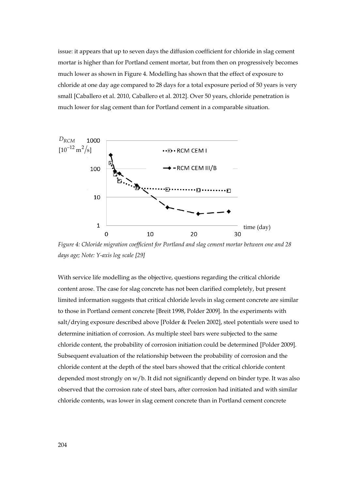issue: it appears that up to seven days the diffusion coefficient for chloride in slag cement mortar is higher than for Portland cement mortar, but from then on progressively becomes much lower as shown in Figure 4. Modelling has shown that the effect of exposure to chloride at one day age compared to 28 days for a total exposure period of 50 years is very small [Caballero et al. 2010, Caballero et al. 2012]. Over 50 years, chloride penetration is much lower for slag cement than for Portland cement in a comparable situation.



*Figure 4: Chloride migration coefficient for Portland and slag cement mortar between one and 28 days age; Note: Y-axis log scale [29]* 

With service life modelling as the objective, questions regarding the critical chloride content arose. The case for slag concrete has not been clarified completely, but present limited information suggests that critical chloride levels in slag cement concrete are similar to those in Portland cement concrete [Breit 1998, Polder 2009]. In the experiments with salt/drying exposure described above [Polder & Peelen 2002], steel potentials were used to determine initiation of corrosion. As multiple steel bars were subjected to the same chloride content, the probability of corrosion initiation could be determined [Polder 2009]. Subsequent evaluation of the relationship between the probability of corrosion and the chloride content at the depth of the steel bars showed that the critical chloride content depended most strongly on w/b. It did not significantly depend on binder type. It was also observed that the corrosion rate of steel bars, after corrosion had initiated and with similar chloride contents, was lower in slag cement concrete than in Portland cement concrete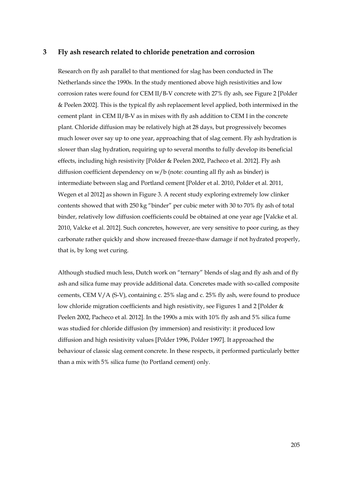# **3 Fly ash research related to chloride penetration and corrosion**

Research on fly ash parallel to that mentioned for slag has been conducted in The Netherlands since the 1990s. In the study mentioned above high resistivities and low corrosion rates were found for CEM II/B-V concrete with 27% fly ash, see Figure 2 [Polder & Peelen 2002]. This is the typical fly ash replacement level applied, both intermixed in the cement plant in CEM II/B-V as in mixes with fly ash addition to CEM I in the concrete plant. Chloride diffusion may be relatively high at 28 days, but progressively becomes much lower over say up to one year, approaching that of slag cement. Fly ash hydration is slower than slag hydration, requiring up to several months to fully develop its beneficial effects, including high resistivity [Polder & Peelen 2002, Pacheco et al. 2012]. Fly ash diffusion coefficient dependency on  $w/b$  (note: counting all fly ash as binder) is intermediate between slag and Portland cement [Polder et al. 2010, Polder et al. 2011, Wegen et al 2012] as shown in Figure 3. A recent study exploring extremely low clinker contents showed that with 250 kg "binder" per cubic meter with 30 to 70% fly ash of total binder, relatively low diffusion coefficients could be obtained at one year age [Valcke et al. 2010, Valcke et al. 2012]. Such concretes, however, are very sensitive to poor curing, as they carbonate rather quickly and show increased freeze-thaw damage if not hydrated properly, that is, by long wet curing.

Although studied much less, Dutch work on "ternary" blends of slag and fly ash and of fly ash and silica fume may provide additional data. Concretes made with so-called composite cements, CEM V/A (S-V), containing c. 25% slag and c. 25% fly ash, were found to produce low chloride migration coefficients and high resistivity, see Figures 1 and 2 [Polder & Peelen 2002, Pacheco et al. 2012]. In the 1990s a mix with 10% fly ash and 5% silica fume was studied for chloride diffusion (by immersion) and resistivity: it produced low diffusion and high resistivity values [Polder 1996, Polder 1997]. It approached the behaviour of classic slag cement concrete. In these respects, it performed particularly better than a mix with 5% silica fume (to Portland cement) only.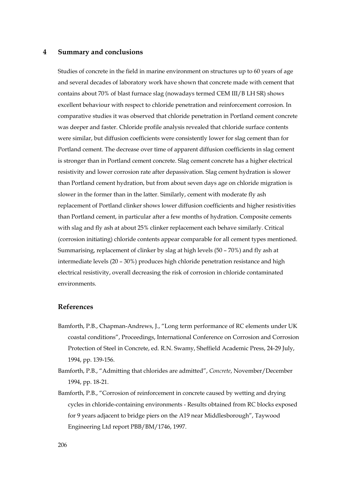#### **4 Summary and conclusions**

Studies of concrete in the field in marine environment on structures up to 60 years of age and several decades of laboratory work have shown that concrete made with cement that contains about 70% of blast furnace slag (nowadays termed CEM III/B LH SR) shows excellent behaviour with respect to chloride penetration and reinforcement corrosion. In comparative studies it was observed that chloride penetration in Portland cement concrete was deeper and faster. Chloride profile analysis revealed that chloride surface contents were similar, but diffusion coefficients were consistently lower for slag cement than for Portland cement. The decrease over time of apparent diffusion coefficients in slag cement is stronger than in Portland cement concrete. Slag cement concrete has a higher electrical resistivity and lower corrosion rate after depassivation. Slag cement hydration is slower than Portland cement hydration, but from about seven days age on chloride migration is slower in the former than in the latter. Similarly, cement with moderate fly ash replacement of Portland clinker shows lower diffusion coefficients and higher resistivities than Portland cement, in particular after a few months of hydration. Composite cements with slag and fly ash at about 25% clinker replacement each behave similarly. Critical (corrosion initiating) chloride contents appear comparable for all cement types mentioned. Summarising, replacement of clinker by slag at high levels (50 – 70%) and fly ash at intermediate levels (20 – 30%) produces high chloride penetration resistance and high electrical resistivity, overall decreasing the risk of corrosion in chloride contaminated environments.

## **References**

- Bamforth, P.B., Chapman-Andrews, J., "Long term performance of RC elements under UK coastal conditions", Proceedings, International Conference on Corrosion and Corrosion Protection of Steel in Concrete, ed. R.N. Swamy, Sheffield Academic Press, 24-29 July, 1994, pp. 139-156.
- Bamforth, P.B., "Admitting that chlorides are admitted", *Concrete*, November/December 1994, pp. 18-21.
- Bamforth, P.B., "Corrosion of reinforcement in concrete caused by wetting and drying cycles in chloride-containing environments - Results obtained from RC blocks exposed for 9 years adjacent to bridge piers on the A19 near Middlesborough", Taywood Engineering Ltd report PBB/BM/1746, 1997.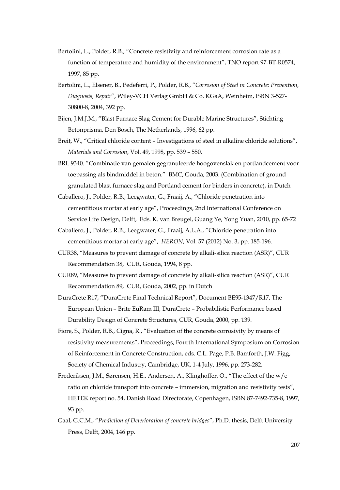- Bertolini, L., Polder, R.B., "Concrete resistivity and reinforcement corrosion rate as a function of temperature and humidity of the environment", TNO report 97-BT-R0574, 1997, 85 pp.
- Bertolini, L., Elsener, B., Pedeferri, P., Polder, R.B., "*Corrosion of Steel in Concrete: Prevention, Diagnosis, Repair*", Wiley-VCH Verlag GmbH & Co. KGaA, Weinheim, ISBN 3-527- 30800-8, 2004, 392 pp.
- Bijen, J.M.J.M., "Blast Furnace Slag Cement for Durable Marine Structures", Stichting Betonprisma, Den Bosch, The Netherlands, 1996, 62 pp.
- Breit, W., "Critical chloride content Investigations of steel in alkaline chloride solutions", *Materials and Corrosion*, Vol. 49, 1998, pp. 539 – 550.
- BRL 9340. "Combinatie van gemalen gegranuleerde hoogovenslak en portlandcement voor toepassing als bindmiddel in beton." BMC, Gouda, 2003. (Combination of ground granulated blast furnace slag and Portland cement for binders in concrete), in Dutch
- Caballero, J., Polder, R.B., Leegwater, G., Fraaij, A., "Chloride penetration into cementitious mortar at early age", Proceedings, 2nd International Conference on Service Life Design, Delft, Eds. K. van Breugel, Guang Ye, Yong Yuan, 2010, pp. 65-72
- Caballero, J., Polder, R.B., Leegwater, G., Fraaij, A.L.A., "Chloride penetration into cementitious mortar at early age", *HERON*, Vol. 57 (2012) No. 3, pp. 185-196.
- CUR38, "Measures to prevent damage of concrete by alkali-silica reaction (ASR)", CUR Recommendation 38, CUR, Gouda, 1994, 8 pp.
- CUR89, "Measures to prevent damage of concrete by alkali-silica reaction (ASR)", CUR Recommendation 89, CUR, Gouda, 2002, pp. in Dutch
- DuraCrete R17, "DuraCrete Final Technical Report", Document BE95-1347/R17, The European Union – Brite EuRam III, DuraCrete – Probabilistic Performance based Durability Design of Concrete Structures, CUR, Gouda, 2000, pp. 139.
- Fiore, S., Polder, R.B., Cigna, R., "Evaluation of the concrete corrosivity by means of resistivity measurements", Proceedings, Fourth International Symposium on Corrosion of Reinforcement in Concrete Construction, eds. C.L. Page, P.B. Bamforth, J.W. Figg, Society of Chemical Industry, Cambridge, UK, 1-4 July, 1996, pp. 273-282.
- Frederiksen, J.M., Sørensen, H.E., Andersen, A., Klinghoffer, O., "The effect of the w/c ratio on chloride transport into concrete – immersion, migration and resistivity tests", HETEK report no. 54, Danish Road Directorate, Copenhagen, ISBN 87-7492-735-8, 1997, 93 pp.
- Gaal, G.C.M., "*Prediction of Deterioration of concrete bridges*", Ph.D. thesis, Delft University Press, Delft, 2004, 146 pp.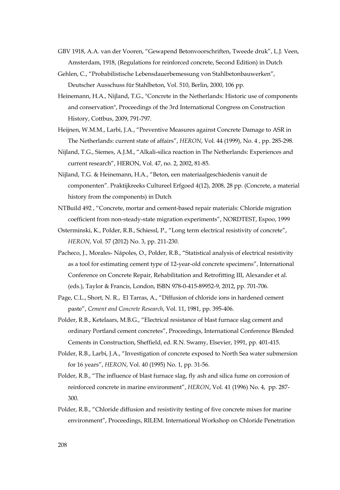- GBV 1918, A.A. van der Vooren, "Gewapend Betonvoorschriften, Tweede druk", L.J. Veen, Amsterdam, 1918, (Regulations for reinforced concrete, Second Edition) in Dutch
- Gehlen, C., "Probabilistische Lebensdauerbemessung von Stahlbetonbauwerken", Deutscher Ausschuss für Stahlbeton, Vol. 510, Berlin, 2000, 106 pp.
- Heinemann, H.A., Nijland, T.G., "Concrete in the Netherlands: Historic use of components and conservation", Proceedings of the 3rd International Congress on Construction History, Cottbus, 2009, 791-797.
- Heijnen, W.M.M., Larbi, J.A., "Preventive Measures against Concrete Damage to ASR in The Netherlands: current state of affairs", *HERON*, Vol. 44 (1999), No. 4 , pp. 285-298.
- Nijland, T.G., Siemes, A.J.M., "Alkali-silica reaction in The Netherlands: Experiences and current research", HERON, Vol. 47, no. 2, 2002, 81-85.
- Nijland, T.G. & Heinemann, H.A., "Beton, een materiaalgeschiedenis vanuit de componenten". Praktijkreeks Cultureel Erfgoed 4(12), 2008, 28 pp. (Concrete, a material history from the components) in Dutch
- NTBuild 492 , "Concrete, mortar and cement-based repair materials: Chloride migration coefficient from non-steady-state migration experiments", NORDTEST, Espoo, 1999
- Osterminski, K., Polder, R.B., Schiessl, P., "Long term electrical resistivity of concrete", *HERON*, Vol. 57 (2012) No. 3, pp. 211-230.
- Pacheco, J., Morales- Nápoles, O., Polder, R.B., "Statistical analysis of electrical resistivity as a tool for estimating cement type of 12-year-old concrete specimens", International Conference on Concrete Repair, Rehabilitation and Retrofitting III, Alexander et al. (eds.), Taylor & Francis, London, ISBN 978-0-415-89952-9, 2012, pp. 701-706.
- Page, C.L., Short, N. R., El Tarras, A., "Diffusion of chloride ions in hardened cement paste", *Cement and Concrete Research*, Vol. 11, 1981, pp. 395-406.
- Polder, R.B., Ketelaars, M.B.G., "Electrical resistance of blast furnace slag cement and ordinary Portland cement concretes", Proceedings, International Conference Blended Cements in Construction, Sheffield, ed. R.N. Swamy, Elsevier, 1991, pp. 401-415.
- Polder, R.B., Larbi, J.A., "Investigation of concrete exposed to North Sea water submersion for 16 years", *HERON*, Vol. 40 (1995) No. 1, pp. 31-56.
- Polder, R.B., "The influence of blast furnace slag, fly ash and silica fume on corrosion of reinforced concrete in marine environment", *HERON*, Vol. 41 (1996) No. 4, pp. 287- 300.
- Polder, R.B., "Chloride diffusion and resistivity testing of five concrete mixes for marine environment", Proceedings, RILEM. International Workshop on Chloride Penetration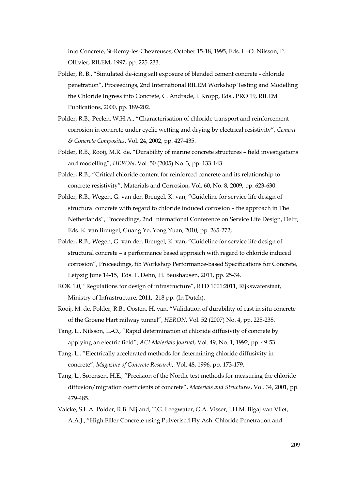into Concrete, St-Remy-les-Chevreuses, October 15-18, 1995, Eds. L.-O. Nilsson, P. Ollivier, RILEM, 1997, pp. 225-233.

- Polder, R. B., "Simulated de-icing salt exposure of blended cement concrete chloride penetration", Proceedings, 2nd International RILEM Workshop Testing and Modelling the Chloride Ingress into Concrete, C. Andrade, J. Kropp, Eds., PRO 19, RILEM Publications, 2000, pp. 189-202.
- Polder, R.B., Peelen, W.H.A., "Characterisation of chloride transport and reinforcement corrosion in concrete under cyclic wetting and drying by electrical resistivity", *Cement & Concrete Composites*, Vol. 24, 2002, pp. 427-435.
- Polder, R.B., Rooij, M.R. de, "Durability of marine concrete structures field investigations and modelling", *HERON*, Vol. 50 (2005) No. 3, pp. 133-143.
- Polder, R.B., "Critical chloride content for reinforced concrete and its relationship to concrete resistivity", Materials and Corrosion, Vol. 60, No. 8, 2009, pp. 623-630.
- Polder, R.B., Wegen, G. van der, Breugel, K. van, "Guideline for service life design of structural concrete with regard to chloride induced corrosion – the approach in The Netherlands", Proceedings, 2nd International Conference on Service Life Design, Delft, Eds. K. van Breugel, Guang Ye, Yong Yuan, 2010, pp. 265-272;
- Polder, R.B., Wegen, G. van der, Breugel, K. van, "Guideline for service life design of structural concrete – a performance based approach with regard to chloride induced corrosion", Proceedings, fib Workshop Performance-based Specifications for Concrete, Leipzig June 14-15, Eds. F. Dehn, H. Beushausen, 2011, pp. 25-34.
- ROK 1.0, "Regulations for design of infrastructure", RTD 1001:2011, Rijkswaterstaat, Ministry of Infrastructure, 2011, 218 pp. (In Dutch).
- Rooij, M. de, Polder, R.B., Oosten, H. van, "Validation of durability of cast in situ concrete of the Groene Hart railway tunnel", *HERON*, Vol. 52 (2007) No. 4, pp. 225-238.
- Tang, L., Nilsson, L.-O., "Rapid determination of chloride diffusivity of concrete by applying an electric field", *ACI Materials Journal*, Vol. 49, No. 1, 1992, pp. 49-53.
- Tang, L., "Electrically accelerated methods for determining chloride diffusivity in concrete", *Magazine of Concrete Research*, Vol. 48, 1996, pp. 173-179.
- Tang, L., Sørensen, H.E., "Precision of the Nordic test methods for measuring the chloride diffusion/migration coefficients of concrete", *Materials and Structures*, Vol. 34, 2001, pp. 479-485.
- Valcke, S.L.A. Polder, R.B. Nijland, T.G. Leegwater, G.A. Visser, J.H.M. Bigaj-van Vliet, A.A.J., "High Filler Concrete using Pulverised Fly Ash: Chloride Penetration and